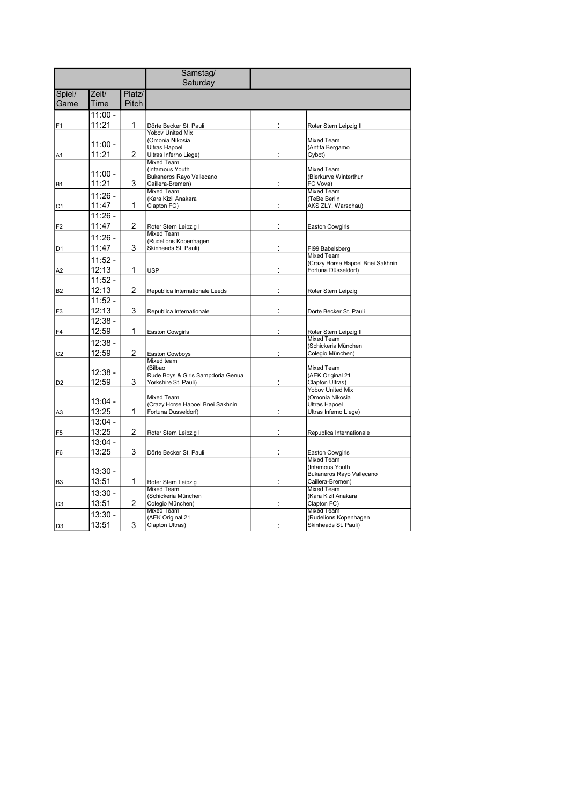|                |           |              | Samstag/                                                  |                                         |
|----------------|-----------|--------------|-----------------------------------------------------------|-----------------------------------------|
|                |           |              | Saturday                                                  |                                         |
| Spiel/         | Zeit/     | Platz/       |                                                           |                                         |
| Game           | Time      | <b>Pitch</b> |                                                           |                                         |
|                | $11:00 -$ |              |                                                           |                                         |
| F <sub>1</sub> | 11:21     | 1            | Dörte Becker St. Pauli                                    | Roter Stern Leipzig II                  |
|                |           |              | <b>Yobov United Mix</b>                                   |                                         |
|                | $11:00 -$ |              | (Omonia Nikosia                                           | <b>Mixed Team</b>                       |
|                | 11:21     | 2            | <b>Ultras Hapoel</b><br>Ultras Inferno Liege)             | (Antifa Bergamo<br>Gybot)               |
| A1             |           |              | <b>Mixed Team</b>                                         |                                         |
|                | $11:00 -$ |              | (Infamous Youth)                                          | Mixed Team                              |
|                |           |              | Bukaneros Rayo Vallecano                                  | (Bierkurve Winterthur                   |
| B <sub>1</sub> | 11:21     | 3            | Caillera-Bremen)<br><b>Mixed Team</b>                     | FC Vova)<br><b>Mixed Team</b>           |
|                | $11:26 -$ |              | (Kara Kizil Anakara                                       | (TeBe Berlin                            |
| C1             | 11:47     | 1            | Clapton FC)                                               | AKS ZLY, Warschau)                      |
|                | $11:26 -$ |              |                                                           |                                         |
| F <sub>2</sub> | 11:47     | 2            | Roter Stern Leipzig I                                     | <b>Easton Cowgirls</b>                  |
|                | $11:26 -$ |              | <b>Mixed Team</b>                                         |                                         |
| D1             | 11:47     | 3            | (Rudelions Kopenhagen<br>Skinheads St. Pauli)             | FI99 Babelsberg                         |
|                |           |              |                                                           | <b>Mixed Team</b>                       |
|                | $11:52 -$ |              |                                                           | (Crazy Horse Hapoel Bnei Sakhnin        |
| A2             | 12:13     | 1            | <b>USP</b>                                                | Fortuna Düsseldorf)                     |
|                | $11:52 -$ |              |                                                           |                                         |
| <b>B2</b>      | 12:13     | 2            | Republica Internationale Leeds                            | Roter Stern Leipzig                     |
|                | $11:52 -$ |              |                                                           |                                         |
| F <sub>3</sub> | 12:13     | 3            | Republica Internationale                                  | Dörte Becker St. Pauli                  |
|                | $12:38 -$ |              |                                                           |                                         |
| F4             | 12:59     | 1            | <b>Easton Cowgirls</b>                                    | Roter Stern Leipzig II                  |
|                | $12:38 -$ |              |                                                           | <b>Mixed Team</b>                       |
| C <sub>2</sub> | 12:59     | 2            | Easton Cowboys                                            | (Schickeria München<br>Colegio München) |
|                |           |              | Mixed team                                                |                                         |
|                | 12:38 -   |              | (Bilbao                                                   | Mixed Team                              |
|                | 12:59     |              | Rude Boys & Girls Sampdoria Genua<br>Yorkshire St. Pauli) | (AEK Original 21<br>Clapton Ultras)     |
| D <sub>2</sub> |           | 3            |                                                           | <b>Yoboy United Mix</b>                 |
|                |           |              | Mixed Team                                                | (Omonia Nikosia                         |
|                | 13:04 -   |              | (Crazy Horse Hapoel Bnei Sakhnin                          | <b>Ultras Hapoel</b>                    |
| A3             | 13:25     | $\mathbf{1}$ | Fortuna Düsseldorf)                                       | Ultras Inferno Liege)                   |
|                | $13:04 -$ |              |                                                           |                                         |
| F <sub>5</sub> | 13:25     | 2            | Roter Stern Leipzig I                                     | Republica Internationale                |
|                | $13:04 -$ |              |                                                           |                                         |
| F <sub>6</sub> | 13:25     | 3            | Dörte Becker St. Pauli                                    | <b>Easton Cowgirls</b>                  |
|                |           |              |                                                           | <b>Mixed Team</b><br>(Infamous Youth)   |
|                | $13:30 -$ |              |                                                           | Bukaneros Rayo Vallecano                |
| B <sub>3</sub> | 13:51     | 1            | Roter Stern Leipzig                                       | Caillera-Bremen)                        |
|                | $13:30 -$ |              | <b>Mixed Team</b>                                         | <b>Mixed Team</b>                       |
| C <sub>3</sub> | 13:51     | 2            | (Schickeria München<br>Colegio München)                   | (Kara Kizil Anakara<br>Clapton FC)      |
|                |           |              | <b>Mixed Team</b>                                         | Mixed Team                              |
|                | $13:30 -$ |              | (AEK Original 21                                          | (Rudelions Kopenhagen                   |
| D3             | 13:51     | 3            | Clapton Ultras)                                           | Skinheads St. Pauli)                    |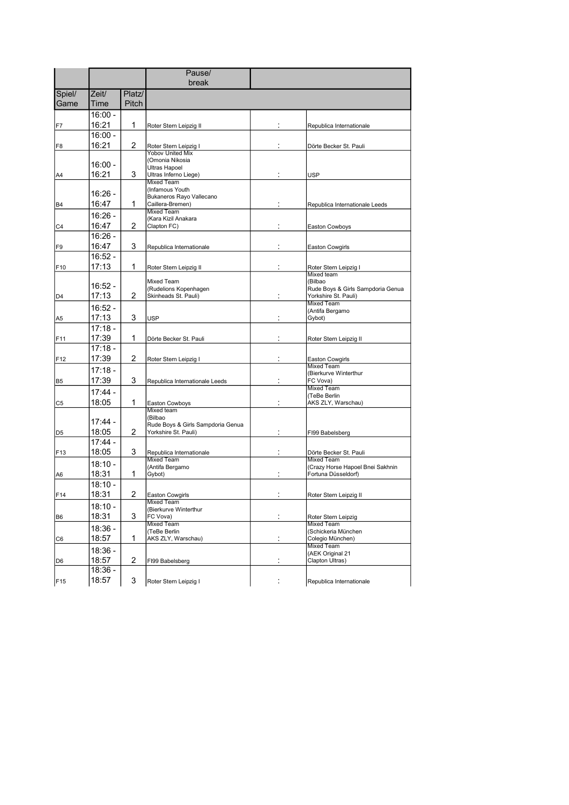|                |                    |                        | Pause/<br>break                                  |    |                                                           |
|----------------|--------------------|------------------------|--------------------------------------------------|----|-----------------------------------------------------------|
|                |                    |                        |                                                  |    |                                                           |
| Spiel/<br>Game | Zeit/<br>Time      | Platz/<br><b>Pitch</b> |                                                  |    |                                                           |
|                | $16:00 -$          |                        |                                                  |    |                                                           |
| F7             | 16:21              | 1                      | Roter Stern Leipzig II                           |    | Republica Internationale                                  |
|                | $16:00 -$          |                        |                                                  |    |                                                           |
| F8             | 16:21              | 2                      | Roter Stern Leipzig I<br><b>Yobov United Mix</b> |    | Dörte Becker St. Pauli                                    |
|                | 16:00 -            |                        | (Omonia Nikosia<br><b>Ultras Hapoel</b>          |    |                                                           |
| A4             | 16:21              | 3                      | Ultras Inferno Liege)<br><b>Mixed Team</b>       |    | USP                                                       |
|                |                    |                        | (Infamous Youth)                                 |    |                                                           |
| B4             | 16:26 -<br>16:47   | 1                      | Bukaneros Rayo Vallecano                         |    |                                                           |
|                |                    |                        | Caillera-Bremen)<br><b>Mixed Team</b>            |    | Republica Internationale Leeds                            |
|                | 16:26 -            |                        | (Kara Kizil Anakara                              |    |                                                           |
| C4             | 16:47              | 2                      | Clapton FC)                                      |    | Easton Cowboys                                            |
|                | $16:26 -$          |                        |                                                  |    |                                                           |
| F9             | 16:47              | 3                      | Republica Internationale                         |    | Easton Cowgirls                                           |
|                | $16:52 -$          |                        |                                                  |    |                                                           |
| F10            | 17:13              | 1                      | Roter Stern Leipzig II                           |    | Roter Stern Leipzig I<br>Mixed team                       |
|                | 16:52 -            |                        | Mixed Team                                       |    | (Bilbao                                                   |
|                | 17:13              | 2                      | (Rudelions Kopenhagen<br>Skinheads St. Pauli)    |    | Rude Boys & Girls Sampdoria Genua<br>Yorkshire St. Pauli) |
| D <sub>4</sub> |                    |                        |                                                  |    | <b>Mixed Team</b>                                         |
|                | $16:52 -$          |                        |                                                  |    | (Antifa Bergamo                                           |
| A5             | 17:13<br>$17:18 -$ | 3                      | <b>USP</b>                                       |    | Gybot)                                                    |
|                |                    | 1                      |                                                  |    |                                                           |
| F11            | 17:39<br>$17:18 -$ |                        | Dörte Becker St. Pauli                           |    | Roter Stern Leipzig II                                    |
|                | 17:39              | 2                      |                                                  |    |                                                           |
| F12            |                    |                        | Roter Stern Leipzig I                            |    | <b>Easton Cowgirls</b><br><b>Mixed Team</b>               |
|                | 17:18 -            |                        |                                                  |    | (Bierkurve Winterthur                                     |
| B5             | 17:39              | 3                      | Republica Internationale Leeds                   |    | FC Vova)<br><b>Mixed Team</b>                             |
|                | 17:44 -            |                        |                                                  |    | (TeBe Berlin                                              |
| C <sub>5</sub> | 18:05              | 1                      | Easton Cowboys<br>Mixed team                     |    | AKS ZLY, Warschau)                                        |
|                |                    |                        | (Bilbao                                          |    |                                                           |
|                | 17:44 -            |                        | Rude Boys & Girls Sampdoria Genua                |    |                                                           |
| D <sub>5</sub> | 18:05              | 2                      | Yorkshire St. Pauli)                             | t  | FI99 Babelsberg                                           |
|                | $17:44 -$          |                        |                                                  |    |                                                           |
| F13            | 18:05              | 3                      | Republica Internationale<br><b>Mixed Team</b>    |    | Dörte Becker St. Pauli<br><b>Mixed Team</b>               |
|                | $18:10 -$          |                        | (Antifa Bergamo                                  |    | (Crazy Horse Hapoel Bnei Sakhnin                          |
| A <sub>6</sub> | 18:31              | 1                      | Gybot)                                           |    | Fortuna Düsseldorf)                                       |
|                | $18:10 -$          |                        |                                                  |    |                                                           |
| F14            | 18:31              | 2                      | Easton Cowgirls                                  |    | Roter Stern Leipzig II                                    |
|                | $18:10 -$          |                        | <b>Mixed Team</b><br>(Bierkurve Winterthur       |    |                                                           |
| B6             | 18:31              | 3                      | FC Vova)                                         | İ. | Roter Stern Leipzig                                       |
|                | 18:36 -            |                        | <b>Mixed Team</b><br>(TeBe Berlin                |    | <b>Mixed Team</b><br>(Schickeria München                  |
| C6             | 18:57              | 1                      | AKS ZLY, Warschau)                               |    | Colegio München)                                          |
|                | 18:36 -            |                        |                                                  |    | <b>Mixed Team</b>                                         |
| D6             | 18:57              | 2                      | FI99 Babelsberg                                  | İ  | (AEK Original 21<br>Clapton Ultras)                       |
|                | 18:36 -            |                        |                                                  |    |                                                           |
| F15            | 18:57              | 3                      | Roter Stern Leipzig I                            |    | Republica Internationale                                  |